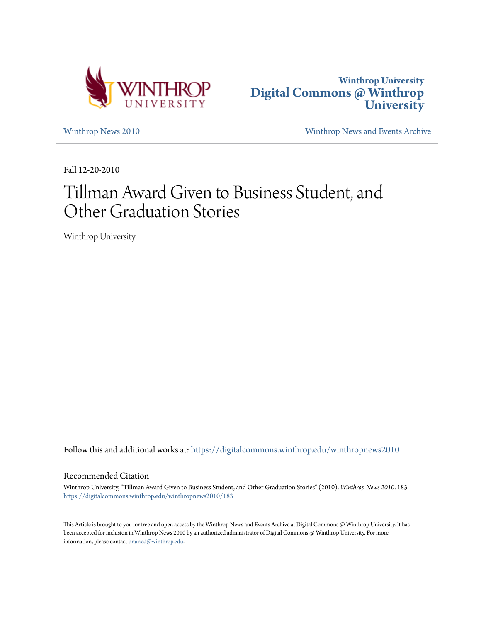



[Winthrop News 2010](https://digitalcommons.winthrop.edu/winthropnews2010?utm_source=digitalcommons.winthrop.edu%2Fwinthropnews2010%2F183&utm_medium=PDF&utm_campaign=PDFCoverPages) [Winthrop News and Events Archive](https://digitalcommons.winthrop.edu/winthropnewsarchives?utm_source=digitalcommons.winthrop.edu%2Fwinthropnews2010%2F183&utm_medium=PDF&utm_campaign=PDFCoverPages)

Fall 12-20-2010

# Tillman Award Given to Business Student, and Other Graduation Stories

Winthrop University

Follow this and additional works at: [https://digitalcommons.winthrop.edu/winthropnews2010](https://digitalcommons.winthrop.edu/winthropnews2010?utm_source=digitalcommons.winthrop.edu%2Fwinthropnews2010%2F183&utm_medium=PDF&utm_campaign=PDFCoverPages)

### Recommended Citation

Winthrop University, "Tillman Award Given to Business Student, and Other Graduation Stories" (2010). *Winthrop News 2010*. 183. [https://digitalcommons.winthrop.edu/winthropnews2010/183](https://digitalcommons.winthrop.edu/winthropnews2010/183?utm_source=digitalcommons.winthrop.edu%2Fwinthropnews2010%2F183&utm_medium=PDF&utm_campaign=PDFCoverPages)

This Article is brought to you for free and open access by the Winthrop News and Events Archive at Digital Commons @ Winthrop University. It has been accepted for inclusion in Winthrop News 2010 by an authorized administrator of Digital Commons @ Winthrop University. For more information, please contact [bramed@winthrop.edu](mailto:bramed@winthrop.edu).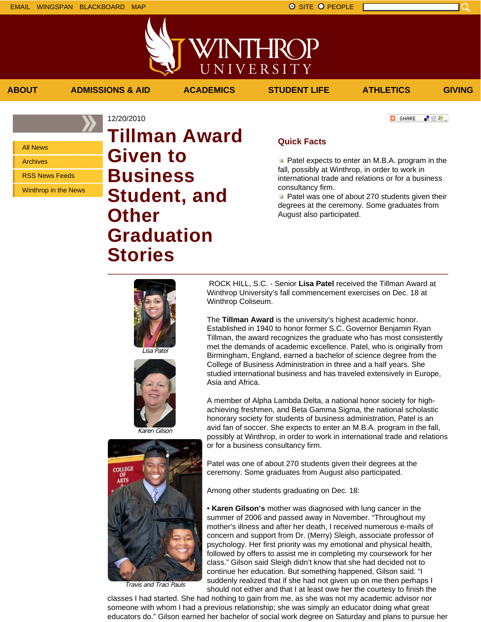## All News

Archives

RSS News Feeds

Winthrop in the News

# 12/20/2010 **Tillman Award Given to Business Student, and Other Graduation Stories**

#### **C** SHARE 上没有。

### **Quick Facts**

**ABOUT ADMISSIONS & AID ACADEMICS STUDENT LIFE ATHLETICS GIVING**

VINTHROP

UNIVERSITY

 $\blacksquare$  Patel expects to enter an M.B.A. program in the fall, possibly at Winthrop, in order to work in international trade and relations or for a business consultancy firm.

**Patel was one of about 270 students given their** degrees at the ceremony. Some graduates from August also participated.



Lisa Patel





Travis and Traci Pauls

ROCK HILL, S.C. - Senior **Lisa Patel** received the Tillman Award at Winthrop University's fall commencement exercises on Dec. 18 at Winthrop Coliseum.

The **Tillman Award** is the university's highest academic honor. Established in 1940 to honor former S.C. Governor Benjamin Ryan Tillman, the award recognizes the graduate who has most consistently met the demands of academic excellence. Patel, who is originally from Birmingham, England, earned a bachelor of science degree from the College of Business Administration in three and a half years. She studied international business and has traveled extensively in Europe, Asia and Africa.

A member of Alpha Lambda Delta, a national honor society for highachieving freshmen, and Beta Gamma Sigma, the national scholastic honorary society for students of business administration, Patel is an avid fan of soccer. She expects to enter an M.B.A. program in the fall, possibly at Winthrop, in order to work in international trade and relations or for a business consultancy firm.

Patel was one of about 270 students given their degrees at the ceremony. Some graduates from August also participated.

Among other students graduating on Dec. 18:

• **Karen Gilson's** mother was diagnosed with lung cancer in the summer of 2006 and passed away in November. "Throughout my mother's illness and after her death, I received numerous e-mails of concern and support from Dr. (Merry) Sleigh, associate professor of psychology. Her first priority was my emotional and physical health, followed by offers to assist me in completing my coursework for her class." Gilson said Sleigh didn't know that she had decided not to continue her education. But something happened, Gilson said. "I suddenly realized that if she had not given up on me then perhaps I should not either and that I at least owe her the courtesy to finish the

classes I had started. She had nothing to gain from me, as she was not my academic advisor nor someone with whom I had a previous relationship; she was simply an educator doing what great educators do." Gilson earned her bachelor of social work degree on Saturday and plans to pursue her